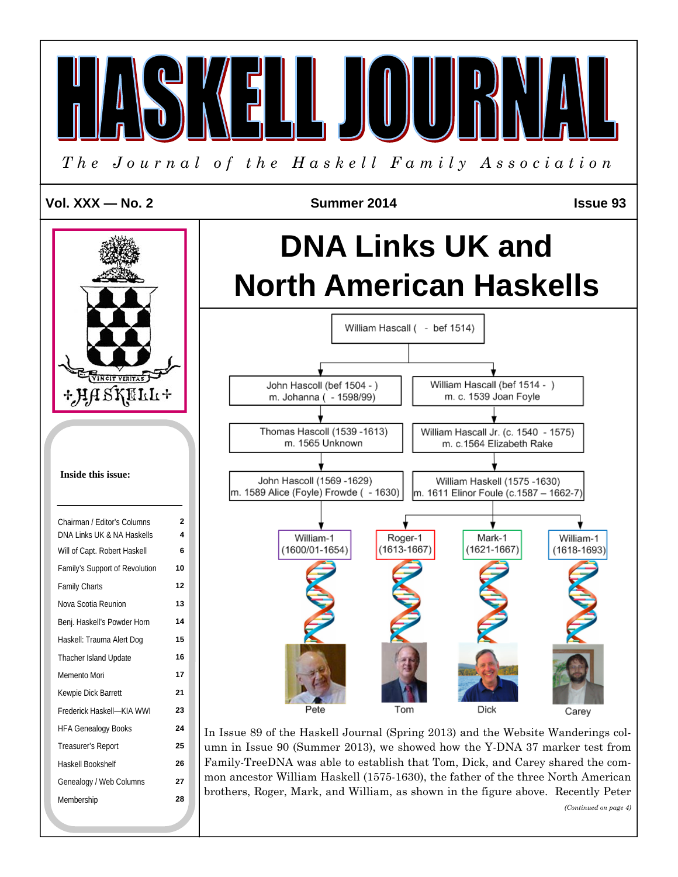

*<sup>(</sup>Continued on page 4)*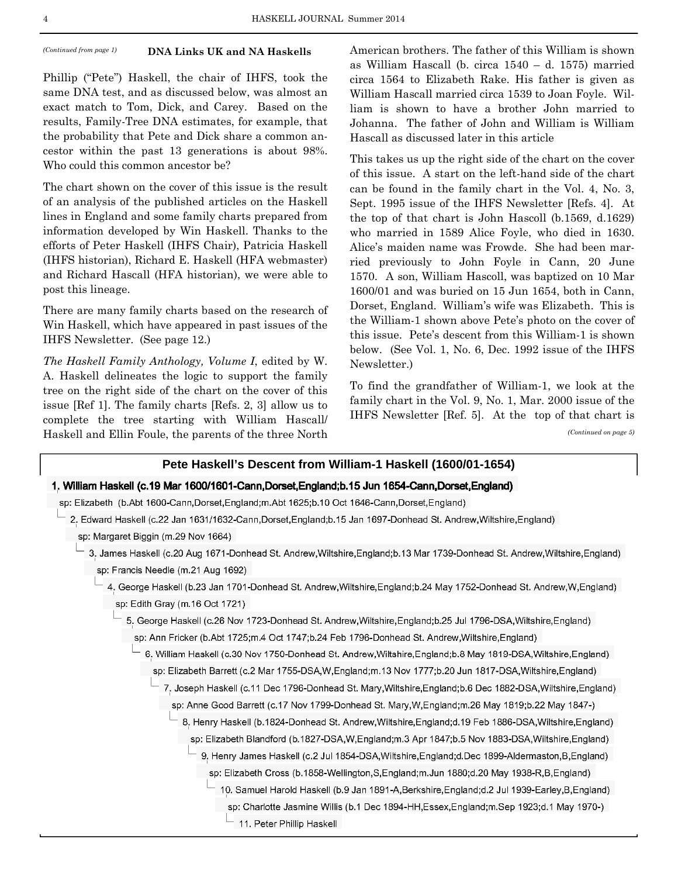### **DNA Links UK and NA Haskells**

Phillip ("Pete") Haskell, the chair of IHFS, took the same DNA test, and as discussed below, was almost an exact match to Tom, Dick, and Carey. Based on the results, Family-Tree DNA estimates, for example, that the probability that Pete and Dick share a common ancestor within the past 13 generations is about 98%. Who could this common ancestor be?

The chart shown on the cover of this issue is the result of an analysis of the published articles on the Haskell lines in England and some family charts prepared from information developed by Win Haskell. Thanks to the efforts of Peter Haskell (IHFS Chair), Patricia Haskell (IHFS historian), Richard E. Haskell (HFA webmaster) and Richard Hascall (HFA historian), we were able to post this lineage.

There are many family charts based on the research of Win Haskell, which have appeared in past issues of the IHFS Newsletter. (See page 12.)

*The Haskell Family Anthology, Volume I*, edited by W. A. Haskell delineates the logic to support the family tree on the right side of the chart on the cover of this issue [Ref 1]. The family charts [Refs. 2, 3] allow us to complete the tree starting with William Hascall/ Haskell and Ellin Foule, the parents of the three North

*(Continued from page 1)* **DNA Links UK and NA Haskells** American brothers. The father of this William is shown as William Hascall (b. circa 1540 – d. 1575) married circa 1564 to Elizabeth Rake. His father is given as William Hascall married circa 1539 to Joan Foyle. William is shown to have a brother John married to Johanna. The father of John and William is William Hascall as discussed later in this article

> This takes us up the right side of the chart on the cover of this issue. A start on the left-hand side of the chart can be found in the family chart in the Vol. 4, No. 3, Sept. 1995 issue of the IHFS Newsletter [Refs. 4]. At the top of that chart is John Hascoll (b.1569, d.1629) who married in 1589 Alice Foyle, who died in 1630. Alice's maiden name was Frowde. She had been married previously to John Foyle in Cann, 20 June 1570. A son, William Hascoll, was baptized on 10 Mar 1600/01 and was buried on 15 Jun 1654, both in Cann, Dorset, England. William's wife was Elizabeth. This is the William-1 shown above Pete's photo on the cover of this issue. Pete's descent from this William-1 is shown below. (See Vol. 1, No. 6, Dec. 1992 issue of the IHFS Newsletter.)

> To find the grandfather of William-1, we look at the family chart in the Vol. 9, No. 1, Mar. 2000 issue of the IHFS Newsletter [Ref. 5]. At the top of that chart is

*(Continued on page 5)* 

# **Pete Haskell's Descent from William-1 Haskell (1600/01-1654)**

## 1. William Haskell (c.19 Mar 1600/1601-Cann,Dorset,England;b.15 Jun 1654-Cann,Dorset,England)

- sp: Elizabeth (b.Abt 1600-Cann,Dorset,England;m.Abt 1625;b.10 Oct 1646-Cann,Dorset,England)
- 2. Edward Haskell (c.22 Jan 1631/1632-Cann, Dorset, England; b.15 Jan 1697-Donhead St. Andrew, Wiltshire, England) sp: Margaret Biggin (m.29 Nov 1664)
	- 3. James Haskell (c.20 Aug 1671-Donhead St. Andrew, Wiltshire, England; b.13 Mar 1739-Donhead St. Andrew, Wiltshire, England) sp: Francis Needle (m.21 Aug 1692)
		- 4. George Haskell (b.23 Jan 1701-Donhead St. Andrew, Wiltshire, England; b.24 May 1752-Donhead St. Andrew, W, England) sp: Edith Gray (m.16 Oct 1721)
			- 5. George Haskell (c.26 Nov 1723-Donhead St. Andrew, Wiltshire, England; b.25 Jul 1796-DSA, Wiltshire, England)
				- sp: Ann Fricker (b.Abt 1725;m.4 Oct 1747;b.24 Feb 1796-Donhead St. Andrew, Wiltshire, England)
					- 6. William Haskell (c.30 Nov 1750-Donhead St. Andrew, Wiltshire, England; b.8 May 1819-DSA, Wiltshire, England) sp: Elizabeth Barrett (c.2 Mar 1755-DSA,W, England;m.13 Nov 1777;b.20 Jun 1817-DSA, Wiltshire, England)
						- 7. Joseph Haskell (c.11 Dec 1796-Donhead St. Mary, Wiltshire, England; b.6 Dec 1882-DSA, Wiltshire, England) sp: Anne Good Barrett (c.17 Nov 1799-Donhead St. Mary, W, England; m. 26 May 1819; b. 22 May 1847-)
							- 8. Henry Haskell (b.1824-Donhead St. Andrew, Wiltshire, England; d.19 Feb 1886-DSA, Wiltshire, England)
								- sp: Elizabeth Blandford (b.1827-DSA,W,England;m.3 Apr 1847;b.5 Nov 1883-DSA, Wiltshire, England)
								- 9. Henry James Haskell (c.2 Jul 1854-DSA, Wiltshire, England; d.Dec 1899-Aldermaston, B, England)
									- sp: Elizabeth Cross (b.1858-Wellington, S, England; m. Jun 1880; d. 20 May 1938-R, B, England)
										- 10. Samuel Harold Haskell (b.9 Jan 1891-A, Berkshire, England; d.2 Jul 1939-Earley, B, England) sp: Charlotte Jasmine Willis (b.1 Dec 1894-HH, Essex, England; m. Sep 1923; d.1 May 1970-)  $-$  11. Peter Phillip Haskell